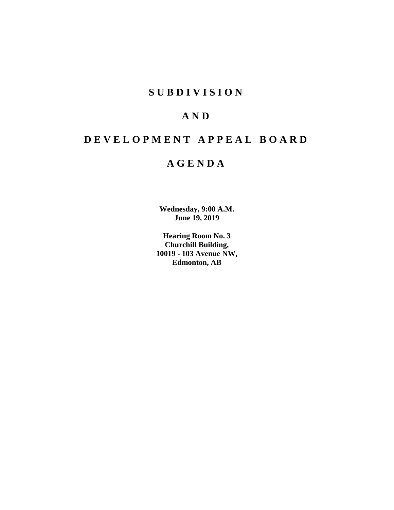## **S U B D I V I S I O N**

# **A N D**

# **D E V E L O P M E N T A P P E A L B O A R D**

## **A G E N D A**

**Wednesday, 9:00 A.M. June 19, 2019**

**Hearing Room No. 3 Churchill Building, 10019 - 103 Avenue NW, Edmonton, AB**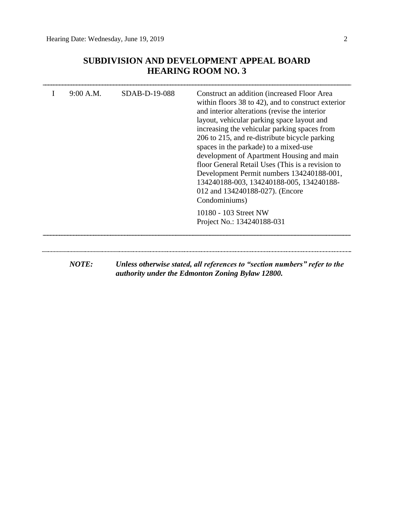## **SUBDIVISION AND DEVELOPMENT APPEAL BOARD HEARING ROOM NO. 3**

|                                                     | development of Apartment Housing and main<br>floor General Retail Uses (This is a revision to<br>Development Permit numbers 134240188-001,<br>134240188-003, 134240188-005, 134240188-<br>012 and 134240188-027). (Encore<br>Condominiums) |  |
|-----------------------------------------------------|--------------------------------------------------------------------------------------------------------------------------------------------------------------------------------------------------------------------------------------------|--|
| 10180 - 103 Street NW<br>Project No.: 134240188-031 |                                                                                                                                                                                                                                            |  |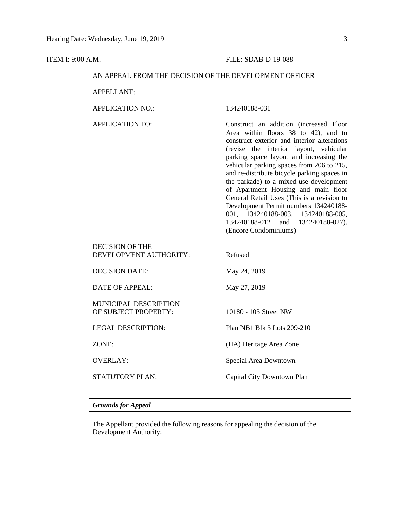| <u>ITEM I: 9:00 A.M.</u> |                                                        | FILE: SDAB-D-19-088                                                                                                                                                                                                                                                                                                                                                                                                                                                                                                                                                                               |  |  |
|--------------------------|--------------------------------------------------------|---------------------------------------------------------------------------------------------------------------------------------------------------------------------------------------------------------------------------------------------------------------------------------------------------------------------------------------------------------------------------------------------------------------------------------------------------------------------------------------------------------------------------------------------------------------------------------------------------|--|--|
|                          | AN APPEAL FROM THE DECISION OF THE DEVELOPMENT OFFICER |                                                                                                                                                                                                                                                                                                                                                                                                                                                                                                                                                                                                   |  |  |
|                          | <b>APPELLANT:</b>                                      |                                                                                                                                                                                                                                                                                                                                                                                                                                                                                                                                                                                                   |  |  |
|                          | <b>APPLICATION NO.:</b>                                | 134240188-031                                                                                                                                                                                                                                                                                                                                                                                                                                                                                                                                                                                     |  |  |
|                          | <b>APPLICATION TO:</b>                                 | Construct an addition (increased Floor<br>Area within floors 38 to 42), and to<br>construct exterior and interior alterations<br>(revise the interior layout, vehicular<br>parking space layout and increasing the<br>vehicular parking spaces from 206 to 215,<br>and re-distribute bicycle parking spaces in<br>the parkade) to a mixed-use development<br>of Apartment Housing and main floor<br>General Retail Uses (This is a revision to<br>Development Permit numbers 134240188-<br>001, 134240188-003, 134240188-005,<br>134240188-012<br>and<br>134240188-027).<br>(Encore Condominiums) |  |  |
|                          | <b>DECISION OF THE</b><br>DEVELOPMENT AUTHORITY:       | Refused                                                                                                                                                                                                                                                                                                                                                                                                                                                                                                                                                                                           |  |  |
|                          | <b>DECISION DATE:</b>                                  | May 24, 2019                                                                                                                                                                                                                                                                                                                                                                                                                                                                                                                                                                                      |  |  |
|                          | <b>DATE OF APPEAL:</b>                                 | May 27, 2019                                                                                                                                                                                                                                                                                                                                                                                                                                                                                                                                                                                      |  |  |
|                          | MUNICIPAL DESCRIPTION<br>OF SUBJECT PROPERTY:          | 10180 - 103 Street NW                                                                                                                                                                                                                                                                                                                                                                                                                                                                                                                                                                             |  |  |
|                          | <b>LEGAL DESCRIPTION:</b>                              | Plan NB1 Blk 3 Lots 209-210                                                                                                                                                                                                                                                                                                                                                                                                                                                                                                                                                                       |  |  |
|                          | ZONE:                                                  | (HA) Heritage Area Zone                                                                                                                                                                                                                                                                                                                                                                                                                                                                                                                                                                           |  |  |
|                          | <b>OVERLAY:</b>                                        | Special Area Downtown                                                                                                                                                                                                                                                                                                                                                                                                                                                                                                                                                                             |  |  |
|                          | STATUTORY PLAN:                                        | Capital City Downtown Plan                                                                                                                                                                                                                                                                                                                                                                                                                                                                                                                                                                        |  |  |

## *Grounds for Appeal*

The Appellant provided the following reasons for appealing the decision of the Development Authority: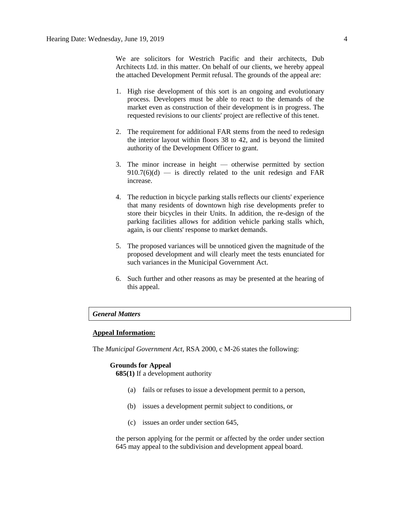We are solicitors for Westrich Pacific and their architects, Dub Architects Ltd. in this matter. On behalf of our clients, we hereby appeal the attached Development Permit refusal. The grounds of the appeal are:

- 1. High rise development of this sort is an ongoing and evolutionary process. Developers must be able to react to the demands of the market even as construction of their development is in progress. The requested revisions to our clients' project are reflective of this tenet.
- 2. The requirement for additional FAR stems from the need to redesign the interior layout within floors 38 to 42, and is beyond the limited authority of the Development Officer to grant.
- 3. The minor increase in height otherwise permitted by section  $910.7(6)(d)$  — is directly related to the unit redesign and FAR increase.
- 4. The reduction in bicycle parking stalls reflects our clients' experience that many residents of downtown high rise developments prefer to store their bicycles in their Units. In addition, the re-design of the parking facilities allows for addition vehicle parking stalls which, again, is our clients' response to market demands.
- 5. The proposed variances will be unnoticed given the magnitude of the proposed development and will clearly meet the tests enunciated for such variances in the Municipal Government Act.
- 6. Such further and other reasons as may be presented at the hearing of this appeal.

### *General Matters*

#### **Appeal Information:**

The *Municipal Government Act*, RSA 2000, c M-26 states the following:

#### **Grounds for Appeal**

**685(1)** If a development authority

- (a) fails or refuses to issue a development permit to a person,
- (b) issues a development permit subject to conditions, or
- (c) issues an order under section 645,

the person applying for the permit or affected by the order under section 645 may appeal to the subdivision and development appeal board.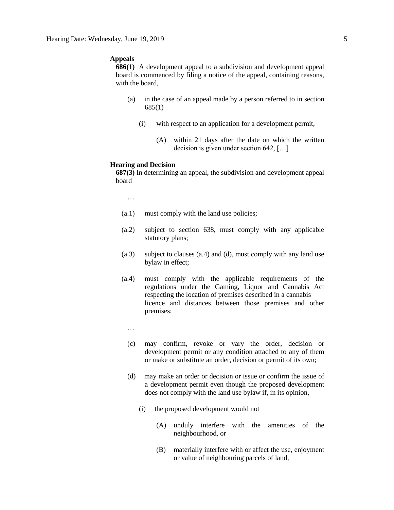### **Appeals**

**686(1)** A development appeal to a subdivision and development appeal board is commenced by filing a notice of the appeal, containing reasons, with the board,

- (a) in the case of an appeal made by a person referred to in section 685(1)
	- (i) with respect to an application for a development permit,
		- (A) within 21 days after the date on which the written decision is given under section 642, […]

#### **Hearing and Decision**

**687(3)** In determining an appeal, the subdivision and development appeal board

…

- (a.1) must comply with the land use policies;
- (a.2) subject to section 638, must comply with any applicable statutory plans;
- (a.3) subject to clauses (a.4) and (d), must comply with any land use bylaw in effect;
- (a.4) must comply with the applicable requirements of the regulations under the Gaming, Liquor and Cannabis Act respecting the location of premises described in a cannabis licence and distances between those premises and other premises;
	- …
	- (c) may confirm, revoke or vary the order, decision or development permit or any condition attached to any of them or make or substitute an order, decision or permit of its own;
	- (d) may make an order or decision or issue or confirm the issue of a development permit even though the proposed development does not comply with the land use bylaw if, in its opinion,
		- (i) the proposed development would not
			- (A) unduly interfere with the amenities of the neighbourhood, or
			- (B) materially interfere with or affect the use, enjoyment or value of neighbouring parcels of land,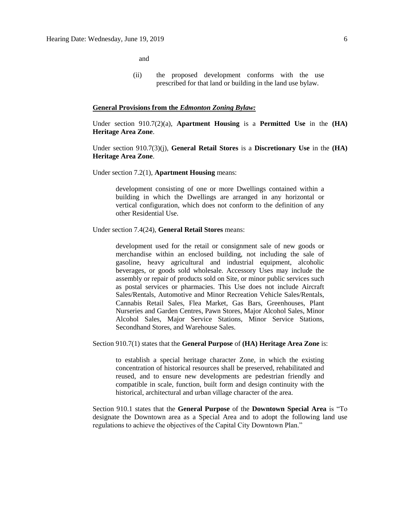and

(ii) the proposed development conforms with the use prescribed for that land or building in the land use bylaw.

#### **General Provisions from the** *Edmonton Zoning Bylaw:*

Under section 910.7(2)(a), **Apartment Housing** is a **Permitted Use** in the **(HA) Heritage Area Zone**.

Under section 910.7(3)(j), **General Retail Stores** is a **Discretionary Use** in the **(HA) Heritage Area Zone**.

Under section 7.2(1), **Apartment Housing** means:

development consisting of one or more Dwellings contained within a building in which the Dwellings are arranged in any horizontal or vertical configuration, which does not conform to the definition of any other Residential Use.

Under section 7.4(24), **General Retail Stores** means:

development used for the retail or consignment sale of new goods or merchandise within an enclosed building, not including the sale of gasoline, heavy agricultural and industrial equipment, alcoholic beverages, or goods sold wholesale. Accessory Uses may include the assembly or repair of products sold on Site, or minor public services such as postal services or pharmacies. This Use does not include Aircraft Sales/Rentals, Automotive and Minor Recreation Vehicle Sales/Rentals, Cannabis Retail Sales, Flea Market, Gas Bars, Greenhouses, Plant Nurseries and Garden Centres, Pawn Stores, Major Alcohol Sales, Minor Alcohol Sales, Major Service Stations, Minor Service Stations, Secondhand Stores, and Warehouse Sales.

Section 910.7(1) states that the **General Purpose** of **(HA) Heritage Area Zone** is:

to establish a special heritage character Zone, in which the existing concentration of historical resources shall be preserved, rehabilitated and reused, and to ensure new developments are pedestrian friendly and compatible in scale, function, built form and design continuity with the historical, architectural and urban village character of the area.

Section 910.1 states that the **General Purpose** of the **Downtown Special Area** is "To designate the Downtown area as a Special Area and to adopt the following land use regulations to achieve the objectives of the Capital City Downtown Plan."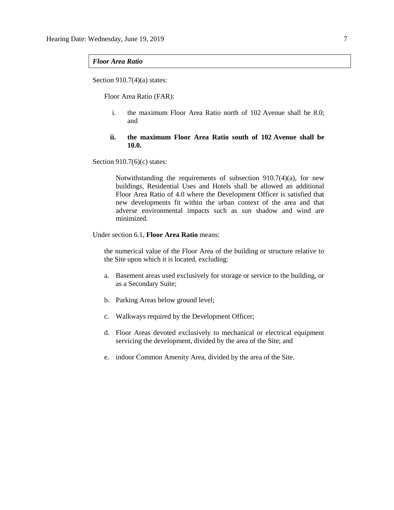#### *Floor Area Ratio*

Section  $910.7(4)(a)$  states:

Floor Area Ratio (FAR):

i. the maximum Floor Area Ratio north of 102 Avenue shall be 8.0; and

### **ii. the maximum Floor Area Ratio south of 102 Avenue shall be 10.0.**

Section  $910.7(6)(c)$  states:

Notwithstanding the requirements of subsection 910.7(4)(a), for new buildings, Residential Uses and Hotels shall be allowed an additional Floor Area Ratio of 4.0 where the Development Officer is satisfied that new developments fit within the urban context of the area and that adverse environmental impacts such as sun shadow and wind are minimized.

#### Under section 6.1, **Floor Area Ratio** means:

the numerical value of the Floor Area of the building or structure relative to the Site upon which it is located, excluding:

- a. Basement areas used exclusively for storage or service to the building, or as a Secondary Suite;
- b. Parking Areas below ground level;
- c. Walkways required by the Development Officer;
- d. Floor Areas devoted exclusively to mechanical or electrical equipment servicing the development, divided by the area of the Site; and
- e. indoor Common Amenity Area, divided by the area of the Site.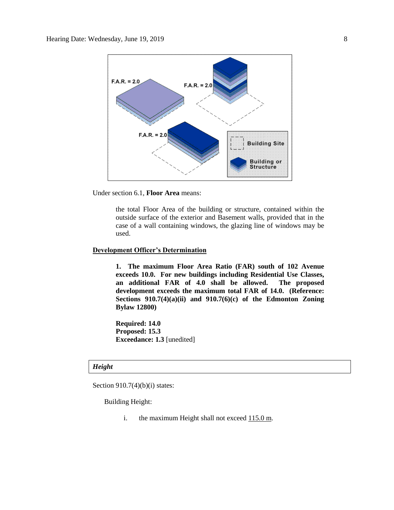

Under section 6.1, **Floor Area** means:

the total Floor Area of the building or structure, contained within the outside surface of the exterior and Basement walls, provided that in the case of a wall containing windows, the glazing line of windows may be used.

## **Development Officer's Determination**

**1. The maximum Floor Area Ratio (FAR) south of 102 Avenue exceeds 10.0. For new buildings including Residential Use Classes, an additional FAR of 4.0 shall be allowed. The proposed development exceeds the maximum total FAR of 14.0. (Reference: Sections 910.7(4)(a)(ii) and 910.7(6)(c) of the Edmonton Zoning Bylaw 12800)**

**Required: 14.0 Proposed: 15.3 Exceedance: 1.3** [unedited]

#### *Height*

Section  $910.7(4)(b)(i)$  states:

Building Height:

i. the maximum Height shall not exceed  $115.0$  m.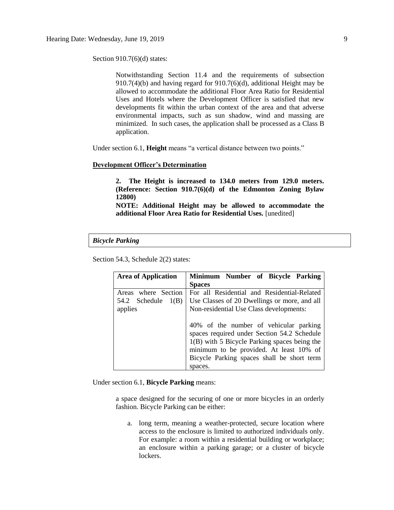Section 910.7(6)(d) states:

Notwithstanding Section 11.4 and the requirements of subsection 910.7(4)(b) and having regard for 910.7(6)(d), additional Height may be allowed to accommodate the additional Floor Area Ratio for Residential Uses and Hotels where the Development Officer is satisfied that new developments fit within the urban context of the area and that adverse environmental impacts, such as sun shadow, wind and massing are minimized. In such cases, the application shall be processed as a Class B application.

Under section 6.1, **Height** means "a vertical distance between two points."

#### **Development Officer's Determination**

**2. The Height is increased to 134.0 meters from 129.0 meters. (Reference: Section 910.7(6)(d) of the Edmonton Zoning Bylaw 12800)**

**NOTE: Additional Height may be allowed to accommodate the additional Floor Area Ratio for Residential Uses.** [unedited]

*Bicycle Parking*

Section 54.3, Schedule 2(2) states:

| <b>Area of Application</b>                   | Minimum Number of Bicycle Parking                                                           |
|----------------------------------------------|---------------------------------------------------------------------------------------------|
|                                              | <b>Spaces</b>                                                                               |
| Areas where Section<br>54.2 Schedule<br>1(B) | For all Residential and Residential-Related<br>Use Classes of 20 Dwellings or more, and all |
| applies                                      | Non-residential Use Class developments:                                                     |
|                                              | 40% of the number of vehicular parking<br>spaces required under Section 54.2 Schedule       |
|                                              | $1(B)$ with 5 Bicycle Parking spaces being the<br>minimum to be provided. At least 10% of   |
|                                              | Bicycle Parking spaces shall be short term                                                  |
|                                              | spaces.                                                                                     |

Under section 6.1, **Bicycle Parking** means:

a space designed for the securing of one or more bicycles in an orderly fashion. Bicycle Parking can be either:

a. long term, meaning a weather-protected, secure location where access to the enclosure is limited to authorized individuals only. For example: a room within a residential building or workplace; an enclosure within a parking garage; or a cluster of bicycle lockers.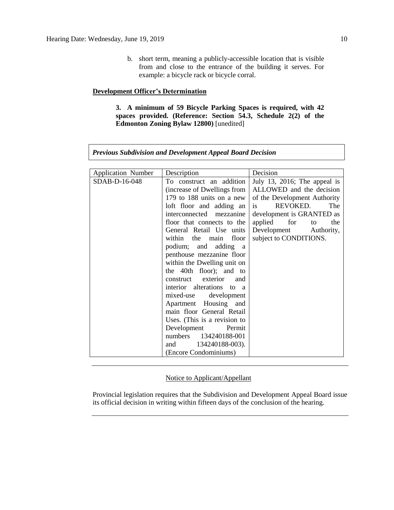b. short term, meaning a publicly-accessible location that is visible from and close to the entrance of the building it serves. For example: a bicycle rack or bicycle corral.

### **Development Officer's Determination**

**3. A minimum of 59 Bicycle Parking Spaces is required, with 42 spaces provided. (Reference: Section 54.3, Schedule 2(2) of the Edmonton Zoning Bylaw 12800)** [unedited]

| <b>Application Number</b> | Description                  | Decision                     |  |  |
|---------------------------|------------------------------|------------------------------|--|--|
| SDAB-D-16-048             | To construct an addition     | July 13, 2016; The appeal is |  |  |
|                           | (increase of Dwellings from  | ALLOWED and the decision     |  |  |
|                           | 179 to 188 units on a new    | of the Development Authority |  |  |
|                           | loft floor and adding an     | REVOKED.<br>The<br>is        |  |  |
|                           | interconnected mezzanine     | development is GRANTED as    |  |  |
|                           | floor that connects to the   | applied for<br>the<br>to     |  |  |
|                           | General Retail Use units     | Development Authority,       |  |  |
|                           | within the main<br>floor     | subject to CONDITIONS.       |  |  |
|                           | podium; and adding<br>a a    |                              |  |  |
|                           | penthouse mezzanine floor    |                              |  |  |
|                           | within the Dwelling unit on  |                              |  |  |
|                           | the 40th floor); and to      |                              |  |  |
|                           | construct exterior<br>and    |                              |  |  |
|                           | interior alterations to a    |                              |  |  |
|                           | mixed-use development        |                              |  |  |
|                           | Apartment Housing and        |                              |  |  |
|                           | main floor General Retail    |                              |  |  |
|                           | Uses. (This is a revision to |                              |  |  |
|                           | Development<br>Permit        |                              |  |  |
|                           | numbers 134240188-001        |                              |  |  |
|                           | 134240188-003).<br>and       |                              |  |  |
|                           | (Encore Condominiums)        |                              |  |  |

*Previous Subdivision and Development Appeal Board Decision*

## Notice to Applicant/Appellant

Provincial legislation requires that the Subdivision and Development Appeal Board issue its official decision in writing within fifteen days of the conclusion of the hearing.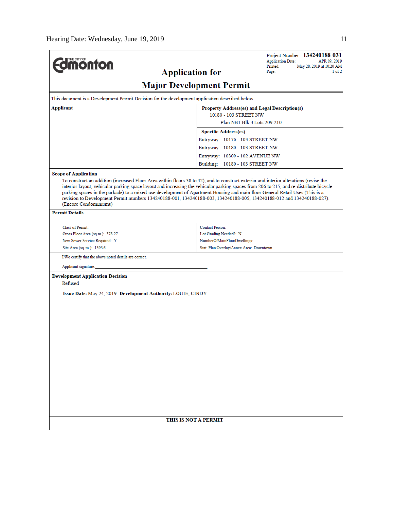| <b>Edmonton</b>                                                                                                    | Project Number: 134240188-031<br><b>Application Date:</b><br>APR 09, 2019<br>Printed:<br>May 28, 2019 at 10:20 AM<br><b>Application for</b><br>1 of 2<br>Page:                                                                                                                                                                                                                                  |  |  |  |  |  |
|--------------------------------------------------------------------------------------------------------------------|-------------------------------------------------------------------------------------------------------------------------------------------------------------------------------------------------------------------------------------------------------------------------------------------------------------------------------------------------------------------------------------------------|--|--|--|--|--|
| <b>Major Development Permit</b>                                                                                    |                                                                                                                                                                                                                                                                                                                                                                                                 |  |  |  |  |  |
| This document is a Development Permit Decision for the development application described below.                    |                                                                                                                                                                                                                                                                                                                                                                                                 |  |  |  |  |  |
| Applicant<br>Property Address(es) and Legal Description(s)                                                         |                                                                                                                                                                                                                                                                                                                                                                                                 |  |  |  |  |  |
|                                                                                                                    | 10180 - 103 STREET NW                                                                                                                                                                                                                                                                                                                                                                           |  |  |  |  |  |
|                                                                                                                    | Plan NB1 Blk 3 Lots 209-210                                                                                                                                                                                                                                                                                                                                                                     |  |  |  |  |  |
|                                                                                                                    | <b>Specific Address(es)</b>                                                                                                                                                                                                                                                                                                                                                                     |  |  |  |  |  |
|                                                                                                                    | Entryway: 10176 - 103 STREET NW                                                                                                                                                                                                                                                                                                                                                                 |  |  |  |  |  |
|                                                                                                                    | Entryway: 10180 - 103 STREET NW                                                                                                                                                                                                                                                                                                                                                                 |  |  |  |  |  |
|                                                                                                                    | Entryway: 10309 - 102 AVENUE NW                                                                                                                                                                                                                                                                                                                                                                 |  |  |  |  |  |
|                                                                                                                    | Building: 10180 - 103 STREET NW                                                                                                                                                                                                                                                                                                                                                                 |  |  |  |  |  |
| <b>Scope of Application</b>                                                                                        |                                                                                                                                                                                                                                                                                                                                                                                                 |  |  |  |  |  |
| (Encore Condominiums)                                                                                              | interior layout, vehicular parking space layout and increasing the vehicular parking spaces from 206 to 215, and re-distribute bicycle<br>parking spaces in the parkade) to a mixed-use development of Apartment Housing and main floor General Retail Uses (This is a<br>revision to Development Permit numbers 134240188-001, 134240188-003, 134240188-005, 134240188-012 and 134240188-027). |  |  |  |  |  |
| <b>Permit Details</b>                                                                                              |                                                                                                                                                                                                                                                                                                                                                                                                 |  |  |  |  |  |
| Class of Permit:                                                                                                   | <b>Contact Person:</b>                                                                                                                                                                                                                                                                                                                                                                          |  |  |  |  |  |
| Gross Floor Area (sq.m.): 378.27                                                                                   | Lot Grading Needed?: N                                                                                                                                                                                                                                                                                                                                                                          |  |  |  |  |  |
| New Sewer Service Required: Y<br>NumberOfMainFloorDwellings:                                                       |                                                                                                                                                                                                                                                                                                                                                                                                 |  |  |  |  |  |
| Stat. Plan Overlay/Annex Area: Downtown<br>Site Area (sq. m.): 1393.6                                              |                                                                                                                                                                                                                                                                                                                                                                                                 |  |  |  |  |  |
| I/We certify that the above noted details are correct.                                                             |                                                                                                                                                                                                                                                                                                                                                                                                 |  |  |  |  |  |
| Applicant signature:                                                                                               |                                                                                                                                                                                                                                                                                                                                                                                                 |  |  |  |  |  |
| <b>Development Application Decision</b><br>Refused<br>Issue Date: May 24, 2019 Development Authority: LOUIE, CINDY |                                                                                                                                                                                                                                                                                                                                                                                                 |  |  |  |  |  |
|                                                                                                                    |                                                                                                                                                                                                                                                                                                                                                                                                 |  |  |  |  |  |
|                                                                                                                    |                                                                                                                                                                                                                                                                                                                                                                                                 |  |  |  |  |  |
|                                                                                                                    |                                                                                                                                                                                                                                                                                                                                                                                                 |  |  |  |  |  |
|                                                                                                                    |                                                                                                                                                                                                                                                                                                                                                                                                 |  |  |  |  |  |
|                                                                                                                    |                                                                                                                                                                                                                                                                                                                                                                                                 |  |  |  |  |  |
|                                                                                                                    |                                                                                                                                                                                                                                                                                                                                                                                                 |  |  |  |  |  |
|                                                                                                                    |                                                                                                                                                                                                                                                                                                                                                                                                 |  |  |  |  |  |
|                                                                                                                    | THIS IS NOT A PERMIT                                                                                                                                                                                                                                                                                                                                                                            |  |  |  |  |  |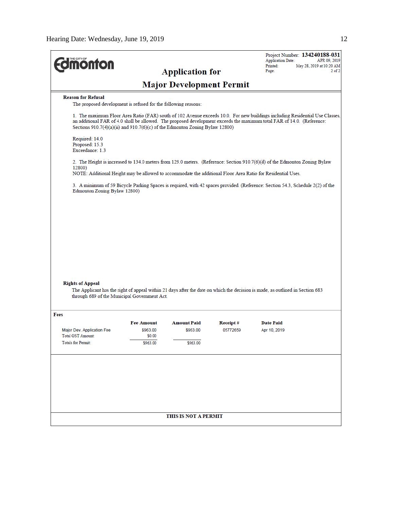| <b>nofino</b>                                                                    |                    |                                 |          | Project Number: 134240188-031<br><b>Application Date:</b><br>APR 09, 2019<br>Printed:<br>May 28, 2019 at 10:20 AM                                                                                                                                      |
|----------------------------------------------------------------------------------|--------------------|---------------------------------|----------|--------------------------------------------------------------------------------------------------------------------------------------------------------------------------------------------------------------------------------------------------------|
|                                                                                  |                    | <b>Application for</b>          |          | Page:<br>$2$ of $2$                                                                                                                                                                                                                                    |
|                                                                                  |                    | <b>Major Development Permit</b> |          |                                                                                                                                                                                                                                                        |
| <b>Reason for Refusal</b>                                                        |                    |                                 |          |                                                                                                                                                                                                                                                        |
| The proposed development is refused for the following reasons:                   |                    |                                 |          |                                                                                                                                                                                                                                                        |
| Sections $910.7(4)(a)(ii)$ and $910.7(6)(c)$ of the Edmonton Zoning Bylaw 12800) |                    |                                 |          | 1. The maximum Floor Area Ratio (FAR) south of 102 Avenue exceeds 10.0. For new buildings including Residential Use Classes,<br>an additional FAR of 4.0 shall be allowed. The proposed development exceeds the maximum total FAR of 14.0. (Reference: |
| Required: 14.0<br>Proposed: 15.3<br>Exceedance: 1.3                              |                    |                                 |          |                                                                                                                                                                                                                                                        |
|                                                                                  |                    |                                 |          |                                                                                                                                                                                                                                                        |
| 12800)                                                                           |                    |                                 |          | 2. The Height is increased to 134.0 meters from 129.0 meters. (Reference: Section 910.7(6)(d) of the Edmonton Zoning Bylaw                                                                                                                             |
|                                                                                  |                    |                                 |          | NOTE: Additional Height may be allowed to accommodate the additional Floor Area Ratio for Residential Uses.                                                                                                                                            |
| Edmonton Zoning Bylaw 12800)                                                     |                    |                                 |          | 3. A minimum of 59 Bicycle Parking Spaces is required, with 42 spaces provided. (Reference: Section 54.3, Schedule 2(2) of the                                                                                                                         |
|                                                                                  |                    |                                 |          |                                                                                                                                                                                                                                                        |
|                                                                                  |                    |                                 |          |                                                                                                                                                                                                                                                        |
|                                                                                  |                    |                                 |          |                                                                                                                                                                                                                                                        |
|                                                                                  |                    |                                 |          |                                                                                                                                                                                                                                                        |
|                                                                                  |                    |                                 |          |                                                                                                                                                                                                                                                        |
|                                                                                  |                    |                                 |          |                                                                                                                                                                                                                                                        |
|                                                                                  |                    |                                 |          |                                                                                                                                                                                                                                                        |
|                                                                                  |                    |                                 |          |                                                                                                                                                                                                                                                        |
| <b>Rights of Appeal</b>                                                          |                    |                                 |          |                                                                                                                                                                                                                                                        |
| through 689 of the Municipal Government Act.                                     |                    |                                 |          | The Applicant has the right of appeal within 21 days after the date on which the decision is made, as outlined in Section 683                                                                                                                          |
|                                                                                  |                    |                                 |          |                                                                                                                                                                                                                                                        |
| Fees                                                                             |                    |                                 |          |                                                                                                                                                                                                                                                        |
|                                                                                  | <b>Fee Amount</b>  | <b>Amount Paid</b>              | Receipt# | <b>Date Paid</b>                                                                                                                                                                                                                                       |
| Major Dev. Application Fee<br>Total GST Amount:                                  | \$963.00<br>\$0.00 | \$963.00                        | 05772659 | Apr 10, 2019                                                                                                                                                                                                                                           |
| <b>Totals for Permit:</b>                                                        | \$963.00           | \$963.00                        |          |                                                                                                                                                                                                                                                        |
|                                                                                  |                    |                                 |          |                                                                                                                                                                                                                                                        |
|                                                                                  |                    |                                 |          |                                                                                                                                                                                                                                                        |
|                                                                                  |                    |                                 |          |                                                                                                                                                                                                                                                        |
|                                                                                  |                    |                                 |          |                                                                                                                                                                                                                                                        |
|                                                                                  |                    |                                 |          |                                                                                                                                                                                                                                                        |
|                                                                                  |                    |                                 |          |                                                                                                                                                                                                                                                        |
|                                                                                  |                    | THIS IS NOT A PERMIT            |          |                                                                                                                                                                                                                                                        |
|                                                                                  |                    |                                 |          |                                                                                                                                                                                                                                                        |